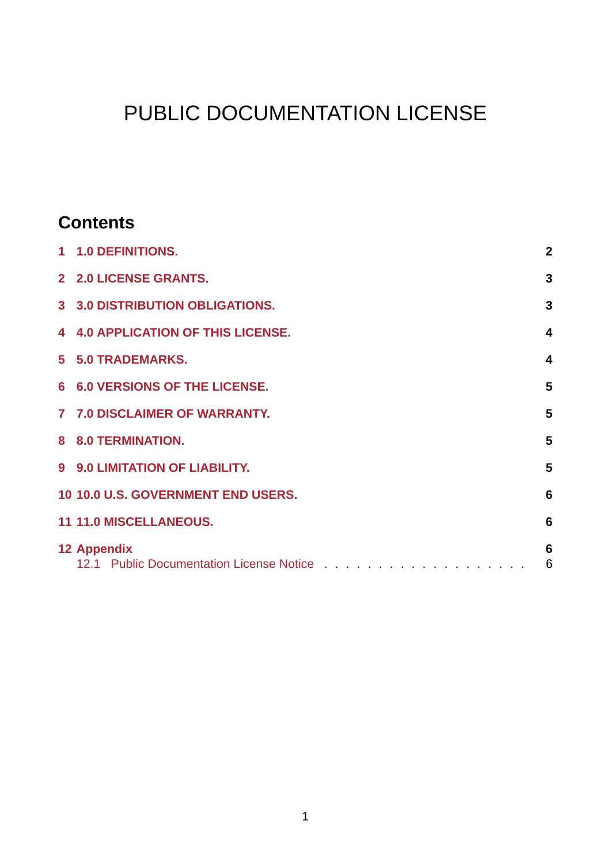# PUBLIC DOCUMENTATION LICENSE

### **Contents**

| 1 1.0 DEFINITIONS.                        | $\mathbf{2}$            |
|-------------------------------------------|-------------------------|
| 2 2.0 LICENSE GRANTS.                     | 3                       |
| 3 3.0 DISTRIBUTION OBLIGATIONS.           | 3                       |
| 4 4.0 APPLICATION OF THIS LICENSE.        | $\overline{\mathbf{4}}$ |
| 5 5.0 TRADEMARKS.                         | $\overline{\mathbf{4}}$ |
| 6 6.0 VERSIONS OF THE LICENSE.            | 5                       |
| 7 7.0 DISCLAIMER OF WARRANTY.             | 5                       |
| 8 8.0 TERMINATION.                        | 5                       |
| 9 9.0 LIMITATION OF LIABILITY.            | 5                       |
| <b>10 10.0 U.S. GOVERNMENT END USERS.</b> | $6\phantom{1}6$         |
| 11 11.0 MISCELLANEOUS.                    | 6                       |
| 12 Appendix                               | 6<br>6                  |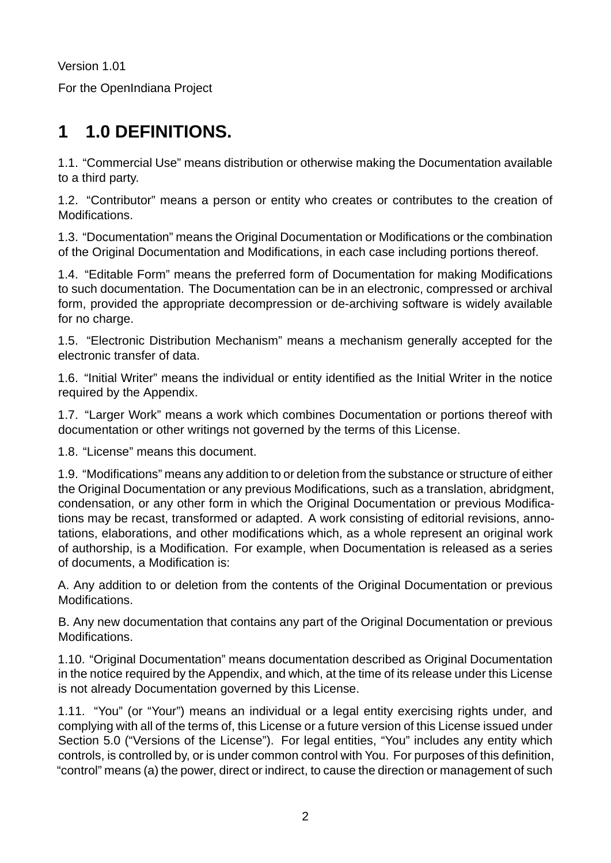Version 1.01

For the OpenIndiana Project

# <span id="page-1-0"></span>**1 1.0 DEFINITIONS.**

1.1. "Commercial Use" means distribution or otherwise making the Documentation available to a third party.

1.2. "Contributor" means a person or entity who creates or contributes to the creation of Modifications.

1.3. "Documentation" means the Original Documentation or Modifications or the combination of the Original Documentation and Modifications, in each case including portions thereof.

1.4. "Editable Form" means the preferred form of Documentation for making Modifications to such documentation. The Documentation can be in an electronic, compressed or archival form, provided the appropriate decompression or de-archiving software is widely available for no charge.

1.5. "Electronic Distribution Mechanism" means a mechanism generally accepted for the electronic transfer of data.

1.6. "Initial Writer" means the individual or entity identified as the Initial Writer in the notice required by the Appendix.

1.7. "Larger Work" means a work which combines Documentation or portions thereof with documentation or other writings not governed by the terms of this License.

1.8. "License" means this document.

1.9. "Modifications" means any addition to or deletion from the substance or structure of either the Original Documentation or any previous Modifications, such as a translation, abridgment, condensation, or any other form in which the Original Documentation or previous Modifications may be recast, transformed or adapted. A work consisting of editorial revisions, annotations, elaborations, and other modifications which, as a whole represent an original work of authorship, is a Modification. For example, when Documentation is released as a series of documents, a Modification is:

A. Any addition to or deletion from the contents of the Original Documentation or previous Modifications.

B. Any new documentation that contains any part of the Original Documentation or previous Modifications.

1.10. "Original Documentation" means documentation described as Original Documentation in the notice required by the Appendix, and which, at the time of its release under this License is not already Documentation governed by this License.

1.11. "You" (or "Your") means an individual or a legal entity exercising rights under, and complying with all of the terms of, this License or a future version of this License issued under Section 5.0 ("Versions of the License"). For legal entities, "You" includes any entity which controls, is controlled by, or is under common control with You. For purposes of this definition, "control" means (a) the power, direct or indirect, to cause the direction or management of such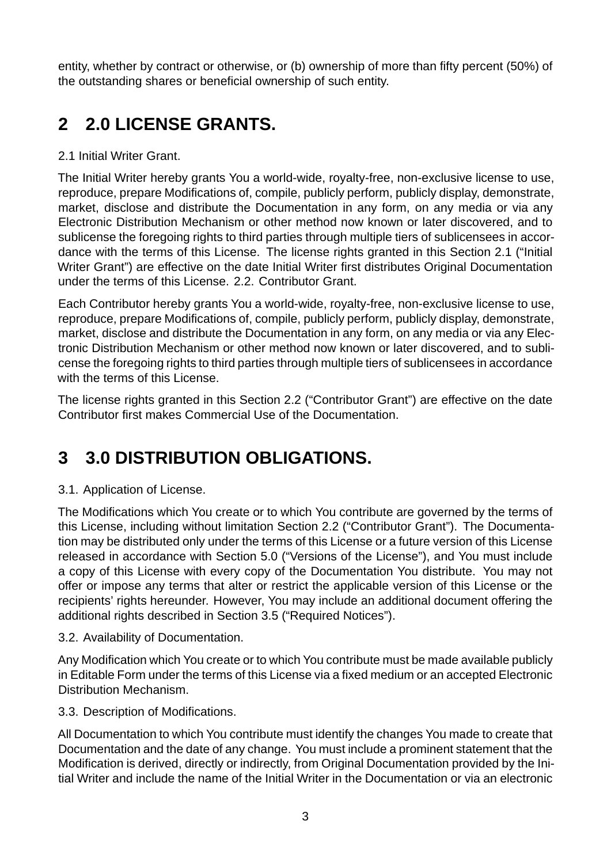entity, whether by contract or otherwise, or (b) ownership of more than fifty percent (50%) of the outstanding shares or beneficial ownership of such entity.

# <span id="page-2-0"></span>**2 2.0 LICENSE GRANTS.**

#### 2.1 Initial Writer Grant.

The Initial Writer hereby grants You a world-wide, royalty-free, non-exclusive license to use, reproduce, prepare Modifications of, compile, publicly perform, publicly display, demonstrate, market, disclose and distribute the Documentation in any form, on any media or via any Electronic Distribution Mechanism or other method now known or later discovered, and to sublicense the foregoing rights to third parties through multiple tiers of sublicensees in accordance with the terms of this License. The license rights granted in this Section 2.1 ("Initial Writer Grant") are effective on the date Initial Writer first distributes Original Documentation under the terms of this License. 2.2. Contributor Grant.

Each Contributor hereby grants You a world-wide, royalty-free, non-exclusive license to use, reproduce, prepare Modifications of, compile, publicly perform, publicly display, demonstrate, market, disclose and distribute the Documentation in any form, on any media or via any Electronic Distribution Mechanism or other method now known or later discovered, and to sublicense the foregoing rights to third parties through multiple tiers of sublicensees in accordance with the terms of this License.

The license rights granted in this Section 2.2 ("Contributor Grant") are effective on the date Contributor first makes Commercial Use of the Documentation.

# <span id="page-2-1"></span>**3 3.0 DISTRIBUTION OBLIGATIONS.**

#### 3.1. Application of License.

The Modifications which You create or to which You contribute are governed by the terms of this License, including without limitation Section 2.2 ("Contributor Grant"). The Documentation may be distributed only under the terms of this License or a future version of this License released in accordance with Section 5.0 ("Versions of the License"), and You must include a copy of this License with every copy of the Documentation You distribute. You may not offer or impose any terms that alter or restrict the applicable version of this License or the recipients' rights hereunder. However, You may include an additional document offering the additional rights described in Section 3.5 ("Required Notices").

#### 3.2. Availability of Documentation.

Any Modification which You create or to which You contribute must be made available publicly in Editable Form under the terms of this License via a fixed medium or an accepted Electronic Distribution Mechanism.

#### 3.3. Description of Modifications.

All Documentation to which You contribute must identify the changes You made to create that Documentation and the date of any change. You must include a prominent statement that the Modification is derived, directly or indirectly, from Original Documentation provided by the Initial Writer and include the name of the Initial Writer in the Documentation or via an electronic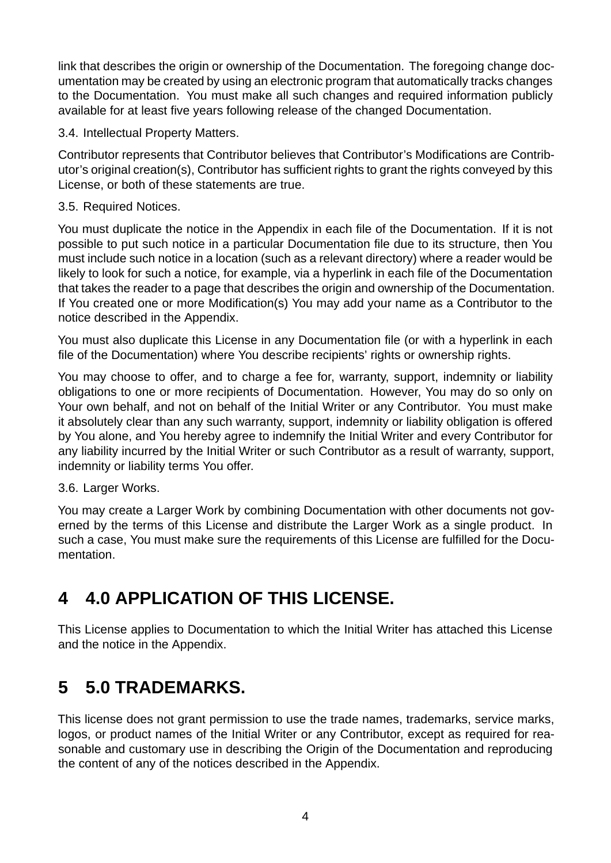link that describes the origin or ownership of the Documentation. The foregoing change documentation may be created by using an electronic program that automatically tracks changes to the Documentation. You must make all such changes and required information publicly available for at least five years following release of the changed Documentation.

3.4. Intellectual Property Matters.

Contributor represents that Contributor believes that Contributor's Modifications are Contributor's original creation(s), Contributor has sufficient rights to grant the rights conveyed by this License, or both of these statements are true.

#### 3.5. Required Notices.

You must duplicate the notice in the Appendix in each file of the Documentation. If it is not possible to put such notice in a particular Documentation file due to its structure, then You must include such notice in a location (such as a relevant directory) where a reader would be likely to look for such a notice, for example, via a hyperlink in each file of the Documentation that takes the reader to a page that describes the origin and ownership of the Documentation. If You created one or more Modification(s) You may add your name as a Contributor to the notice described in the Appendix.

You must also duplicate this License in any Documentation file (or with a hyperlink in each file of the Documentation) where You describe recipients' rights or ownership rights.

You may choose to offer, and to charge a fee for, warranty, support, indemnity or liability obligations to one or more recipients of Documentation. However, You may do so only on Your own behalf, and not on behalf of the Initial Writer or any Contributor. You must make it absolutely clear than any such warranty, support, indemnity or liability obligation is offered by You alone, and You hereby agree to indemnify the Initial Writer and every Contributor for any liability incurred by the Initial Writer or such Contributor as a result of warranty, support, indemnity or liability terms You offer.

#### 3.6. Larger Works.

You may create a Larger Work by combining Documentation with other documents not governed by the terms of this License and distribute the Larger Work as a single product. In such a case, You must make sure the requirements of this License are fulfilled for the Documentation.

### <span id="page-3-0"></span>**4 4.0 APPLICATION OF THIS LICENSE.**

This License applies to Documentation to which the Initial Writer has attached this License and the notice in the Appendix.

### <span id="page-3-1"></span>**5 5.0 TRADEMARKS.**

This license does not grant permission to use the trade names, trademarks, service marks, logos, or product names of the Initial Writer or any Contributor, except as required for reasonable and customary use in describing the Origin of the Documentation and reproducing the content of any of the notices described in the Appendix.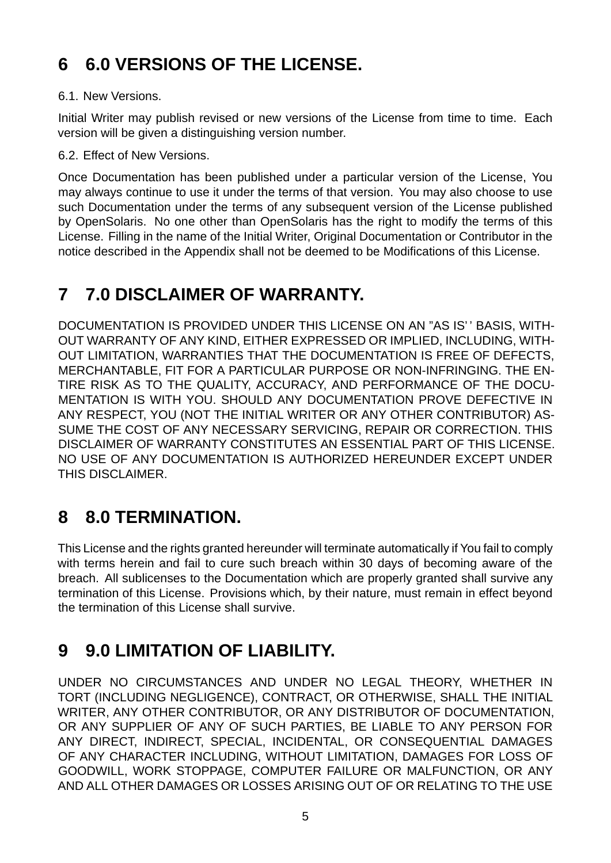# <span id="page-4-0"></span>**6 6.0 VERSIONS OF THE LICENSE.**

#### 6.1. New Versions.

Initial Writer may publish revised or new versions of the License from time to time. Each version will be given a distinguishing version number.

6.2. Effect of New Versions.

Once Documentation has been published under a particular version of the License, You may always continue to use it under the terms of that version. You may also choose to use such Documentation under the terms of any subsequent version of the License published by OpenSolaris. No one other than OpenSolaris has the right to modify the terms of this License. Filling in the name of the Initial Writer, Original Documentation or Contributor in the notice described in the Appendix shall not be deemed to be Modifications of this License.

### <span id="page-4-1"></span>**7 7.0 DISCLAIMER OF WARRANTY.**

DOCUMENTATION IS PROVIDED UNDER THIS LICENSE ON AN "AS IS' ' BASIS, WITH-OUT WARRANTY OF ANY KIND, EITHER EXPRESSED OR IMPLIED, INCLUDING, WITH-OUT LIMITATION, WARRANTIES THAT THE DOCUMENTATION IS FREE OF DEFECTS, MERCHANTABLE, FIT FOR A PARTICULAR PURPOSE OR NONINFRINGING. THE EN-TIRE RISK AS TO THE QUALITY, ACCURACY, AND PERFORMANCE OF THE DOCU-MENTATION IS WITH YOU. SHOULD ANY DOCUMENTATION PROVE DEFECTIVE IN ANY RESPECT, YOU (NOT THE INITIAL WRITER OR ANY OTHER CONTRIBUTOR) AS-SUME THE COST OF ANY NECESSARY SERVICING, REPAIR OR CORRECTION. THIS DISCLAIMER OF WARRANTY CONSTITUTES AN ESSENTIAL PART OF THIS LICENSE. NO USE OF ANY DOCUMENTATION IS AUTHORIZED HEREUNDER EXCEPT UNDER THIS DISCLAIMER.

### <span id="page-4-2"></span>**8 8.0 TERMINATION.**

This License and the rights granted hereunder will terminate automatically if You fail to comply with terms herein and fail to cure such breach within 30 days of becoming aware of the breach. All sublicenses to the Documentation which are properly granted shall survive any termination of this License. Provisions which, by their nature, must remain in effect beyond the termination of this License shall survive.

# <span id="page-4-3"></span>**9 9.0 LIMITATION OF LIABILITY.**

UNDER NO CIRCUMSTANCES AND UNDER NO LEGAL THEORY, WHETHER IN TORT (INCLUDING NEGLIGENCE), CONTRACT, OR OTHERWISE, SHALL THE INITIAL WRITER, ANY OTHER CONTRIBUTOR, OR ANY DISTRIBUTOR OF DOCUMENTATION, OR ANY SUPPLIER OF ANY OF SUCH PARTIES, BE LIABLE TO ANY PERSON FOR ANY DIRECT, INDIRECT, SPECIAL, INCIDENTAL, OR CONSEQUENTIAL DAMAGES OF ANY CHARACTER INCLUDING, WITHOUT LIMITATION, DAMAGES FOR LOSS OF GOODWILL, WORK STOPPAGE, COMPUTER FAILURE OR MALFUNCTION, OR ANY AND ALL OTHER DAMAGES OR LOSSES ARISING OUT OF OR RELATING TO THE USE